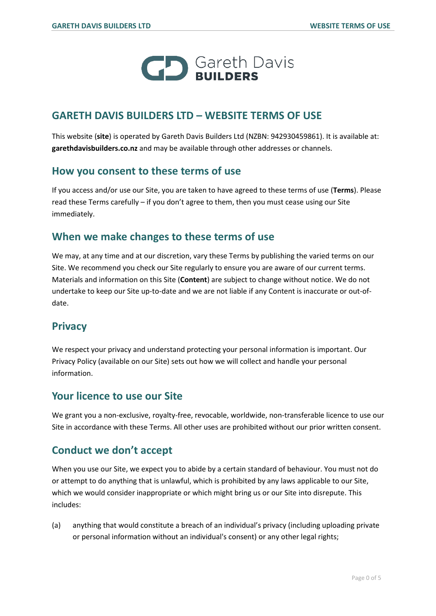

#### **GARETH DAVIS BUILDERS LTD – WEBSITE TERMS OF USE**

This website (**site**) is operated by Gareth Davis Builders Ltd (NZBN: 942930459861). It is available at: **garethdavisbuilders.co.nz** and may be available through other addresses or channels.

#### **How you consent to these terms of use**

If you access and/or use our Site, you are taken to have agreed to these terms of use (**Terms**). Please read these Terms carefully – if you don't agree to them, then you must cease using our Site immediately.

## **When we make changes to these terms of use**

We may, at any time and at our discretion, vary these Terms by publishing the varied terms on our Site. We recommend you check our Site regularly to ensure you are aware of our current terms. Materials and information on this Site (**Content**) are subject to change without notice. We do not undertake to keep our Site up-to-date and we are not liable if any Content is inaccurate or out-ofdate.

#### **Privacy**

We respect your privacy and understand protecting your personal information is important. Our Privacy Policy (available on our Site) sets out how we will collect and handle your personal information.

#### **Your licence to use our Site**

We grant you a non-exclusive, royalty-free, revocable, worldwide, non-transferable licence to use our Site in accordance with these Terms. All other uses are prohibited without our prior written consent.

## **Conduct we don't accept**

When you use our Site, we expect you to abide by a certain standard of behaviour. You must not do or attempt to do anything that is unlawful, which is prohibited by any laws applicable to our Site, which we would consider inappropriate or which might bring us or our Site into disrepute. This includes:

(a) anything that would constitute a breach of an individual's privacy (including uploading private or personal information without an individual's consent) or any other legal rights;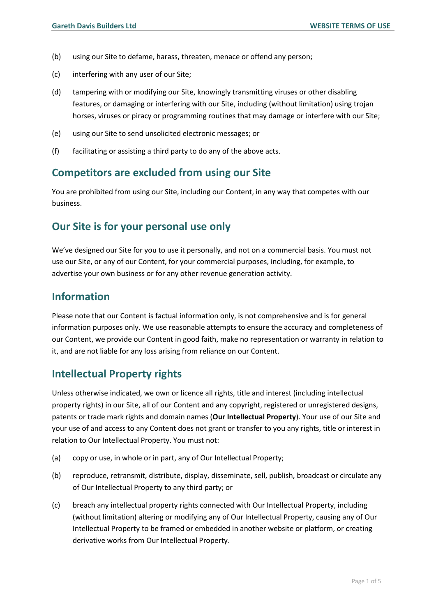- (b) using our Site to defame, harass, threaten, menace or offend any person;
- (c) interfering with any user of our Site;
- (d) tampering with or modifying our Site, knowingly transmitting viruses or other disabling features, or damaging or interfering with our Site, including (without limitation) using trojan horses, viruses or piracy or programming routines that may damage or interfere with our Site;
- (e) using our Site to send unsolicited electronic messages; or
- (f) facilitating or assisting a third party to do any of the above acts.

#### **Competitors are excluded from using our Site**

You are prohibited from using our Site, including our Content, in any way that competes with our business.

## **Our Site is for your personal use only**

We've designed our Site for you to use it personally, and not on a commercial basis. You must not use our Site, or any of our Content, for your commercial purposes, including, for example, to advertise your own business or for any other revenue generation activity.

### **Information**

Please note that our Content is factual information only, is not comprehensive and is for general information purposes only. We use reasonable attempts to ensure the accuracy and completeness of our Content, we provide our Content in good faith, make no representation or warranty in relation to it, and are not liable for any loss arising from reliance on our Content.

## **Intellectual Property rights**

Unless otherwise indicated, we own or licence all rights, title and interest (including intellectual property rights) in our Site, all of our Content and any copyright, registered or unregistered designs, patents or trade mark rights and domain names (**Our Intellectual Property**). Your use of our Site and your use of and access to any Content does not grant or transfer to you any rights, title or interest in relation to Our Intellectual Property. You must not:

- (a) copy or use, in whole or in part, any of Our Intellectual Property;
- (b) reproduce, retransmit, distribute, display, disseminate, sell, publish, broadcast or circulate any of Our Intellectual Property to any third party; or
- (c) breach any intellectual property rights connected with Our Intellectual Property, including (without limitation) altering or modifying any of Our Intellectual Property, causing any of Our Intellectual Property to be framed or embedded in another website or platform, or creating derivative works from Our Intellectual Property.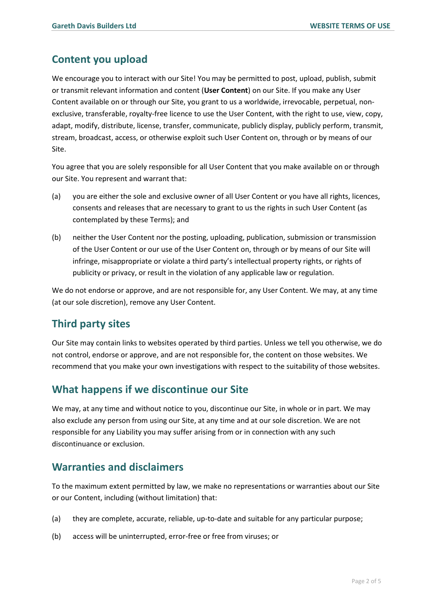## **Content you upload**

We encourage you to interact with our Site! You may be permitted to post, upload, publish, submit or transmit relevant information and content (**User Content**) on our Site. If you make any User Content available on or through our Site, you grant to us a worldwide, irrevocable, perpetual, nonexclusive, transferable, royalty-free licence to use the User Content, with the right to use, view, copy, adapt, modify, distribute, license, transfer, communicate, publicly display, publicly perform, transmit, stream, broadcast, access, or otherwise exploit such User Content on, through or by means of our Site.

You agree that you are solely responsible for all User Content that you make available on or through our Site. You represent and warrant that:

- (a) you are either the sole and exclusive owner of all User Content or you have all rights, licences, consents and releases that are necessary to grant to us the rights in such User Content (as contemplated by these Terms); and
- (b) neither the User Content nor the posting, uploading, publication, submission or transmission of the User Content or our use of the User Content on, through or by means of our Site will infringe, misappropriate or violate a third party's intellectual property rights, or rights of publicity or privacy, or result in the violation of any applicable law or regulation.

We do not endorse or approve, and are not responsible for, any User Content. We may, at any time (at our sole discretion), remove any User Content.

## **Third party sites**

Our Site may contain links to websites operated by third parties. Unless we tell you otherwise, we do not control, endorse or approve, and are not responsible for, the content on those websites. We recommend that you make your own investigations with respect to the suitability of those websites.

## **What happens if we discontinue our Site**

We may, at any time and without notice to you, discontinue our Site, in whole or in part. We may also exclude any person from using our Site, at any time and at our sole discretion. We are not responsible for any Liability you may suffer arising from or in connection with any such discontinuance or exclusion.

## **Warranties and disclaimers**

To the maximum extent permitted by law, we make no representations or warranties about our Site or our Content, including (without limitation) that:

- (a) they are complete, accurate, reliable, up-to-date and suitable for any particular purpose;
- (b) access will be uninterrupted, error-free or free from viruses; or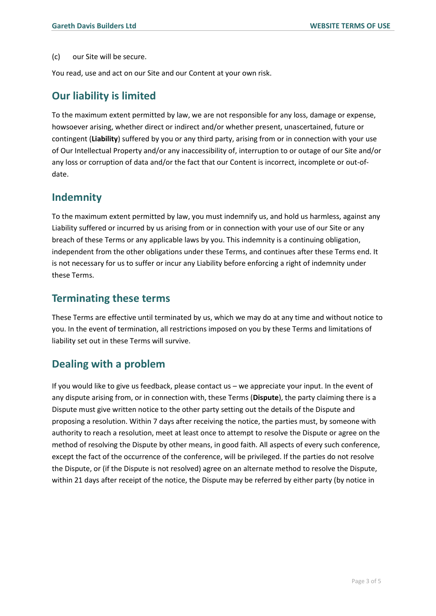#### (c) our Site will be secure.

You read, use and act on our Site and our Content at your own risk.

#### **Our liability is limited**

To the maximum extent permitted by law, we are not responsible for any loss, damage or expense, howsoever arising, whether direct or indirect and/or whether present, unascertained, future or contingent (**Liability**) suffered by you or any third party, arising from or in connection with your use of Our Intellectual Property and/or any inaccessibility of, interruption to or outage of our Site and/or any loss or corruption of data and/or the fact that our Content is incorrect, incomplete or out-ofdate.

#### **Indemnity**

To the maximum extent permitted by law, you must indemnify us, and hold us harmless, against any Liability suffered or incurred by us arising from or in connection with your use of our Site or any breach of these Terms or any applicable laws by you. This indemnity is a continuing obligation, independent from the other obligations under these Terms, and continues after these Terms end. It is not necessary for us to suffer or incur any Liability before enforcing a right of indemnity under these Terms.

#### **Terminating these terms**

These Terms are effective until terminated by us, which we may do at any time and without notice to you. In the event of termination, all restrictions imposed on you by these Terms and limitations of liability set out in these Terms will survive.

#### **Dealing with a problem**

If you would like to give us feedback, please contact us – we appreciate your input. In the event of any dispute arising from, or in connection with, these Terms (**Dispute**), the party claiming there is a Dispute must give written notice to the other party setting out the details of the Dispute and proposing a resolution. Within 7 days after receiving the notice, the parties must, by someone with authority to reach a resolution, meet at least once to attempt to resolve the Dispute or agree on the method of resolving the Dispute by other means, in good faith. All aspects of every such conference, except the fact of the occurrence of the conference, will be privileged. If the parties do not resolve the Dispute, or (if the Dispute is not resolved) agree on an alternate method to resolve the Dispute, within 21 days after receipt of the notice, the Dispute may be referred by either party (by notice in